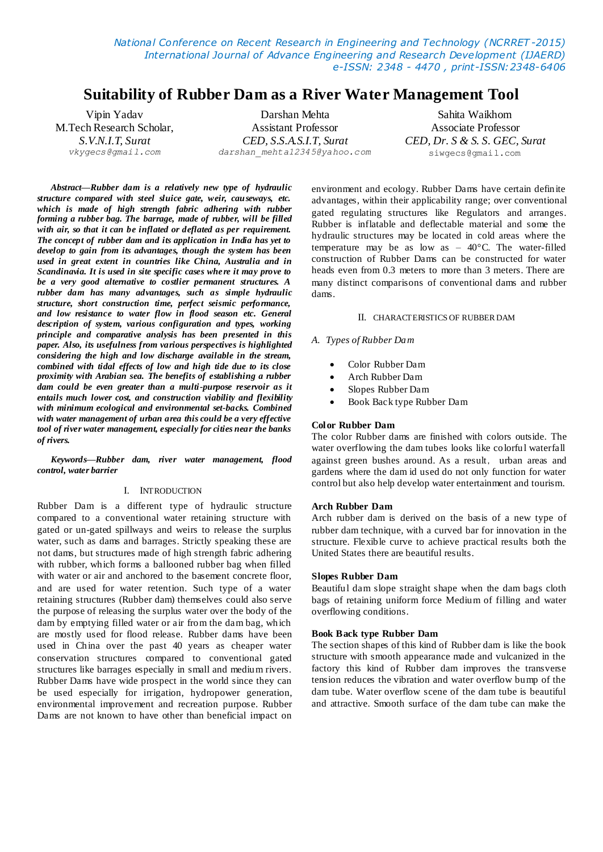*National Conference on Recent Research in Engineering and Technology (NCRRET -2015) International Journal of Advance Engineering and Research Development (IJAERD) e-ISSN: 2348 - 4470 , print-ISSN:2348-6406*

# **Suitability of Rubber Dam as a River Water Management Tool**

Vipin Yadav Darshan Mehta Sahita Waikhom M.Tech Research Scholar, Assistant Professor Associate Professor *S.V.N.I.T, Surat CED, S.S.A.S.I.T, Surat CED, Dr. S & S. S. GEC, Surat vkygecs@gmail.com darshan\_mehta12345@yahoo.com* [siwgecs@gmail.com](mailto:siwgecs@gmail.com)

*Abstract***—***Rubber dam is a relatively new type of hydraulic structure compared with steel sluice gate, weir, causeways, etc. which is made of high strength fabric adhering with rubber forming a rubber bag. The barrage, made of rubber, will be filled with air, so that it can be inflated or deflated as per requirement. The concept of rubber dam and its application in India has yet to develop to gain from its advantages, though the system has been used in great extent in countries like China, Australia and in Scandinavia. It is used in site specific cases where it may prove to be a very good alternative to costlier permanent structures. A rubber dam has many advantages, such as simple hydraulic structure, short construction time, perfect seismic performance, and low resistance to water flow in flood season etc. General description of system, various configuration and types, working principle and comparative analysis has been presented in this paper. Also, its usefulness from various perspectives is highlighted considering the high and low discharge available in the stream, combined with tidal effects of low and high tide due to its close proximity with Arabian sea. The benefits of establishing a rubber dam could be even greater than a multi-purpose reservoir as it entails much lower cost, and construction viability and flexibility with minimum ecological and environmental set-backs. Combined with water management of urban area this could be a very effective tool of river water management, especially for cities near the banks of rivers.* 

*Keywords—Rubber dam, river water management, flood control, water barrier*

#### I. INTRODUCTION

Rubber Dam is a different type of hydraulic structure compared to a conventional water retaining structure with gated or un-gated spillways and weirs to release the surplus water, such as dams and barrages. Strictly speaking these are not dams, but structures made of high strength fabric adhering with rubber, which forms a ballooned rubber bag when filled with water or air and anchored to the basement concrete floor, and are used for water retention. Such type of a water retaining structures (Rubber dam) themselves could also serve the purpose of releasing the surplus water over the body of the dam by emptying filled water or air from the dam bag, which are mostly used for flood release. Rubber dams have been used in China over the past 40 years as cheaper water conservation structures compared to conventional gated structures like barrages especially in small and medium rivers. Rubber Dams have wide prospect in the world since they can be used especially for irrigation, hydropower generation, environmental improvement and recreation purpose. Rubber Dams are not known to have other than beneficial impact on

environment and ecology. Rubber Dams have certain definite advantages, within their applicability range; over conventional gated regulating structures like Regulators and arranges. Rubber is inflatable and deflectable material and some the hydraulic structures may be located in cold areas where the temperature may be as low as  $-40^{\circ}$ C. The water-filled construction of Rubber Dams can be constructed for water heads even from 0.3 meters to more than 3 meters. There are many distinct comparisons of conventional dams and rubber dams.

#### II. CHARACTERISTICS OF RUBBER DAM

#### *A. Types of Rubber Dam*

- Color Rubber Dam
- Arch Rubber Dam
- Slopes Rubber Dam
- Book Back type Rubber Dam

#### **Color Rubber Dam**

The color Rubber dams are finished with colors outside. The water overflowing the dam tubes looks like colorful waterfall against green bushes around. As a result, urban areas and gardens where the dam id used do not only function for water control but also help develop water entertainment and tourism.

## **Arch Rubber Dam**

Arch rubber dam is derived on the basis of a new type of rubber dam technique, with a curved bar for innovation in the structure. Flexible curve to achieve practical results both the United States there are beautiful results.

#### **Slopes Rubber Dam**

Beautiful dam slope straight shape when the dam bags cloth bags of retaining uniform force Medium of filling and water overflowing conditions.

#### **Book Back type Rubber Dam**

The section shapes of this kind of Rubber dam is like the book structure with smooth appearance made and vulcanized in the factory this kind of Rubber dam improves the transverse tension reduces the vibration and water overflow bump of the dam tube. Water overflow scene of the dam tube is beautiful and attractive. Smooth surface of the dam tube can make the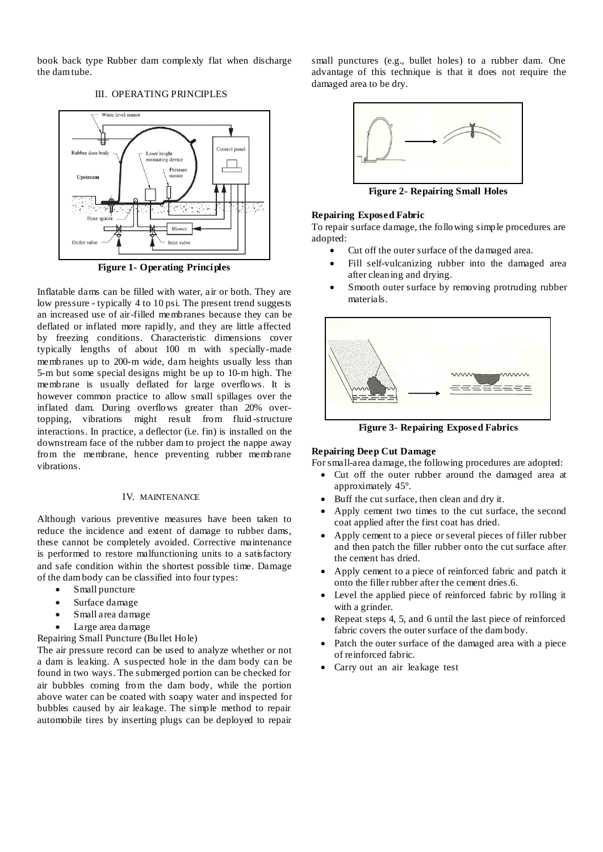book back type Rubber dam complexly flat when discharge the dam tube.

# III. OPERATING PRINCIPLES



**Figure 1- Operating Principles**

Inflatable dams can be filled with water, air or both. They are low pressure - typically 4 to 10 psi. The present trend suggests an increased use of air-filled membranes because they can be deflated or inflated more rapidly, and they are little affected by freezing conditions. Characteristic dimensions cover typically lengths of about 100 m with specially-made membranes up to 200-m wide, dam heights usually less than 5-m but some special designs might be up to 10-m high. The membrane is usually deflated for large overflows. It is however common practice to allow small spillages over the inflated dam. During overflows greater than 20% overtopping, vibrations might result from fluid -structure interactions. In practice, a deflector (i.e. fin) is installed on the downstream face of the rubber dam to project the nappe away from the membrane, hence preventing rubber membrane vibrations.

## IV. MAINTENANCE

Although various preventive measures have been taken to reduce the incidence and extent of damage to rubber dams, these cannot be completely avoided. Corrective maintenance is performed to restore malfunctioning units to a satisfactory and safe condition within the shortest possible time. Damage of the dam body can be classified into four types:

- Small puncture
- Surface damage
- Small area damage
- Large area damage

Repairing Small Puncture (Bullet Hole)

The air pressure record can be used to analyze whether or not a dam is leaking. A suspected hole in the dam body can be found in two ways. The submerged portion can be checked for air bubbles coming from the dam body, while the portion above water can be coated with soapy water and inspected for bubbles caused by air leakage. The simple method to repair automobile tires by inserting plugs can be deployed to repair

small punctures (e.g., bullet holes) to a rubber dam. One advantage of this technique is that it does not require the damaged area to be dry.



**Figure 2- Repairing Small Holes**

# **Repairing Exposed Fabric**

To repair surface damage, the following simple procedures are adopted:

- Cut off the outer surface of the damaged area.
- Fill self-vulcanizing rubber into the damaged area after cleaning and drying.
- Smooth outer surface by removing protruding rubber materials.



**Figure 3- Repairing Exposed Fabrics**

# **Repairing Deep Cut Damage**

For small-area damage, the following procedures are adopted:

- Cut off the outer rubber around the damaged area at approximately 45°.
- Buff the cut surface, then clean and dry it.
- Apply cement two times to the cut surface, the second coat applied after the first coat has dried.
- Apply cement to a piece or several pieces of filler rubber and then patch the filler rubber onto the cut surface after the cement has dried.
- Apply cement to a piece of reinforced fabric and patch it onto the filler rubber after the cement dries.6.
- Level the applied piece of reinforced fabric by rolling it with a grinder.
- Repeat steps 4, 5, and 6 until the last piece of reinforced fabric covers the outer surface of the dam body.
- Patch the outer surface of the damaged area with a piece of reinforced fabric.
- Carry out an air leakage test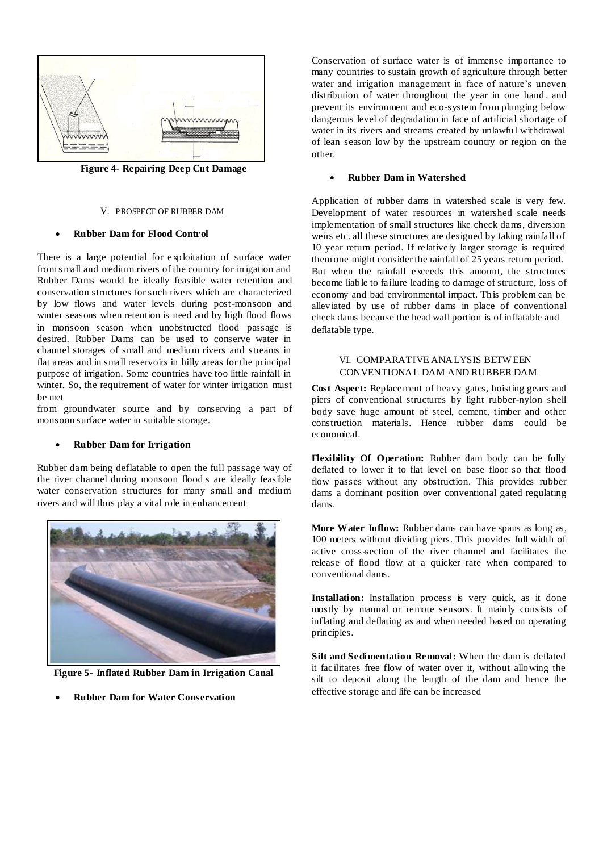

**Figure 4- Repairing Deep Cut Damage**

#### V. PROSPECT OF RUBBER DAM

## **Rubber Dam for Flood Control**

There is a large potential for exploitation of surface water from s mall and medium rivers of the country for irrigation and Rubber Dams would be ideally feasible water retention and conservation structures for such rivers which are characterized by low flows and water levels during post-monsoon and winter seasons when retention is need and by high flood flows in monsoon season when unobstructed flood passage is desired. Rubber Dams can be used to conserve water in channel storages of small and medium rivers and streams in flat areas and in small reservoirs in hilly areas for the principal purpose of irrigation. Some countries have too little rainfall in winter. So, the requirement of water for winter irrigation must be met

from groundwater source and by conserving a part of monsoon surface water in suitable storage.

#### **Rubber Dam for Irrigation**

Rubber dam being deflatable to open the full passage way of the river channel during monsoon flood s are ideally feasible water conservation structures for many small and medium rivers and will thus play a vital role in enhancement



**Figure 5- Inflated Rubber Dam in Irrigation Canal**

**Rubber Dam for Water Conservation**

Conservation of surface water is of immense importance to many countries to sustain growth of agriculture through better water and irrigation management in face of nature's uneven distribution of water throughout the year in one hand. and prevent its environment and eco-system from plunging below dangerous level of degradation in face of artificial shortage of water in its rivers and streams created by unlawful withdrawal of lean season low by the upstream country or region on the other.

# **Rubber Dam in Watershed**

Application of rubber dams in watershed scale is very few. Development of water resources in watershed scale needs implementation of small structures like check dams, diversion weirs etc. all these structures are designed by taking rainfall of 10 year return period. If relatively larger storage is required them one might consider the rainfall of 25 years return period. But when the rainfall exceeds this amount, the structures become liable to failure leading to damage of structure, loss of economy and bad environmental impact. This problem can be alleviated by use of rubber dams in place of conventional check dams because the head wall portion is of inflatable and deflatable type.

## VI. COMPARATIVE ANALYSIS BETW EEN CONVENTIONAL DAM AND RUBBER DAM

**Cost Aspect:** Replacement of heavy gates, hoisting gears and piers of conventional structures by light rubber-nylon shell body save huge amount of steel, cement, timber and other construction materials. Hence rubber dams could be economical.

**Flexibility Of Operation:** Rubber dam body can be fully deflated to lower it to flat level on base floor so that flood flow passes without any obstruction. This provides rubber dams a dominant position over conventional gated regulating dams.

**More Water Inflow:** Rubber dams can have spans as long as, 100 meters without dividing piers. This provides full width of active cross-section of the river channel and facilitates the release of flood flow at a quicker rate when compared to conventional dams.

**Installation:** Installation process is very quick, as it done mostly by manual or remote sensors. It mainly consists of inflating and deflating as and when needed based on operating principles.

**Silt and Sedimentation Removal:** When the dam is deflated it facilitates free flow of water over it, without allowing the silt to deposit along the length of the dam and hence the effective storage and life can be increased